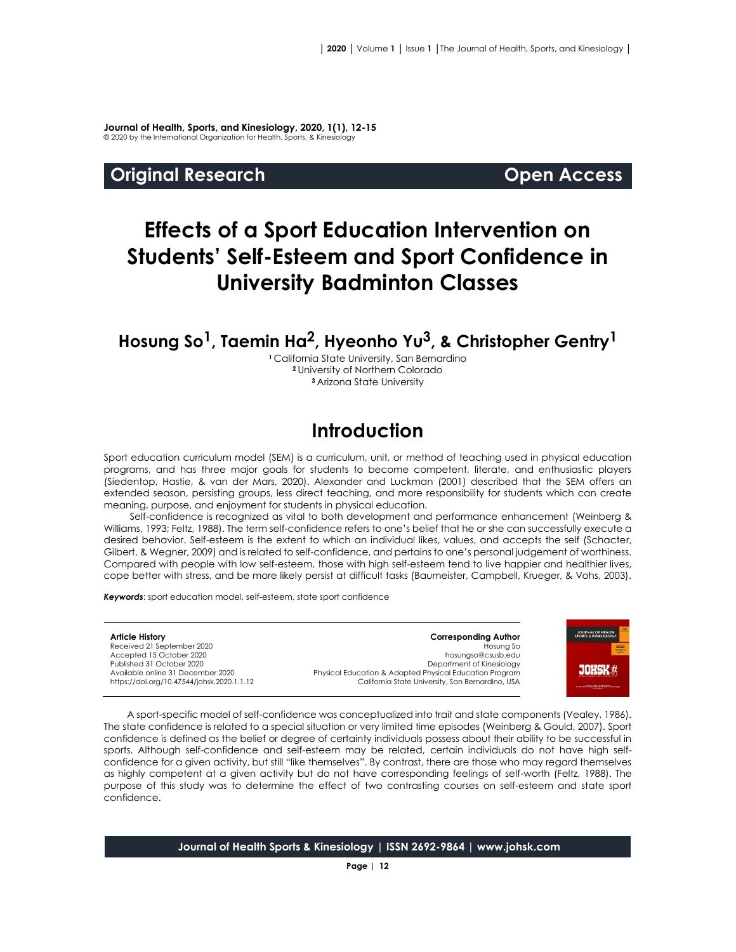**Journal of Health, Sports, and Kinesiology, 2020, 1(1), 12-15** © 2020 by the International Organization for Health, Sports, & Kinesiology

#### **Original Research Open Access**

# **Effects of a Sport Education Intervention on Students' Self-Esteem and Sport Confidence in University Badminton Classes**

# **Hosung So1, Taemin Ha2, Hyeonho Yu3, & Christopher Gentry<sup>1</sup>**

**<sup>1</sup>**California State University, San Bernardino **<sup>2</sup>**University of Northern Colorado **<sup>3</sup>**Arizona State University

# **Introduction**

Sport education curriculum model (SEM) is a curriculum, unit, or method of teaching used in physical education programs, and has three major goals for students to become competent, literate, and enthusiastic players (Siedentop, Hastie, & van der Mars, 2020). Alexander and Luckman (2001) described that the SEM offers an extended season, persisting groups, less direct teaching, and more responsibility for students which can create meaning, purpose, and enjoyment for students in physical education.

Self-confidence is recognized as vital to both development and performance enhancement (Weinberg & Williams, 1993; Feltz, 1988). The term self-confidence refers to one's belief that he or she can successfully execute a desired behavior. Self-esteem is the extent to which an individual likes, values, and accepts the self (Schacter, Gilbert, & Wegner, 2009) and is related to self-confidence, and pertains to one's personal judgement of worthiness. Compared with people with low self-esteem, those with high self-esteem tend to live happier and healthier lives, cope better with stress, and be more likely persist at difficult tasks (Baumeister, Campbell, Krueger, & Vohs, 2003).

*Keywords*: sport education model, self-esteem, state sport confidence

**Article History** Received 21 September 2020 Accepted 15 October 2020 Published 31 October 2020 Available online 31 December 2020 [https://doi.org/10.47544/johsk.2020.1.1.1](https://doi.org/10.47544/johsk.2020.1.1.9)2

**Corresponding Author** Hosung So hosungso@csusb.edu Department of Kinesiology Physical Education & Adapted Physical Education Program California State University, San Bernardino, USA



A sport-specific model of self-confidence was conceptualized into trait and state components (Vealey, 1986). The state confidence is related to a special situation or very limited time episodes (Weinberg & Gould, 2007). Sport confidence is defined as the belief or degree of certainty individuals possess about their ability to be successful in sports. Although self-confidence and self-esteem may be related, certain individuals do not have high selfconfidence for a given activity, but still "like themselves". By contrast, there are those who may regard themselves as highly competent at a given activity but do not have corresponding feelings of self-worth (Feltz, 1988). The purpose of this study was to determine the effect of two contrasting courses on self-esteem and state sport confidence.

**Journal of Health Sports & Kinesiology | ISSN 2692-9864 | www.johsk.com**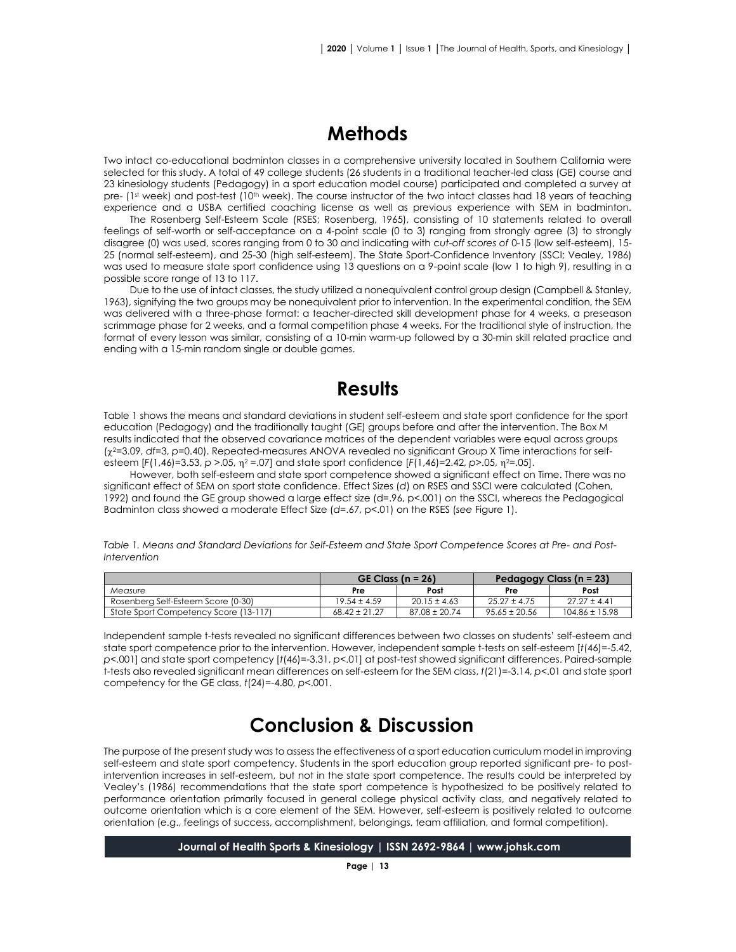## **Methods**

Two intact co-educational badminton classes in a comprehensive university located in Southern California were selected for this study. A total of 49 college students (26 students in a traditional teacher-led class (GE) course and 23 kinesiology students (Pedagogy) in a sport education model course) participated and completed a survey at pre- (1st week) and post-test (10<sup>th</sup> week). The course instructor of the two intact classes had 18 years of teaching experience and a USBA certified coaching license as well as previous experience with SEM in badminton.

The Rosenberg Self-Esteem Scale (RSES; Rosenberg, 1965), consisting of 10 statements related to overall feelings of self-worth or self-acceptance on a 4-point scale (0 to 3) ranging from strongly agree (3) to strongly disagree (0) was used, scores ranging from 0 to 30 and indicating with c*ut-off scores of* 0-15 (low self-esteem), 15- 25 (normal self-esteem), and 25-30 (high self-esteem). The State Sport-Confidence Inventory (SSCI; Vealey, 1986) was used to measure state sport confidence using 13 questions on a 9-point scale (low 1 to high 9), resulting in a possible score range of 13 to 117.

Due to the use of intact classes, the study utilized a nonequivalent control group design (Campbell & Stanley, 1963), signifying the two groups may be nonequivalent prior to intervention. In the experimental condition, the SEM was delivered with a three-phase format: a teacher-directed skill development phase for 4 weeks, a preseason scrimmage phase for 2 weeks, and a formal competition phase 4 weeks. For the traditional style of instruction, the format of every lesson was similar, consisting of a 10-min warm-up followed by a 30-min skill related practice and ending with a 15-min random single or double games.

#### **Results**

Table 1 shows the means and standard deviations in student self-esteem and state sport confidence for the sport education (Pedagogy) and the traditionally taught (GE) groups before and after the intervention. The Box M results indicated that the observed covariance matrices of the dependent variables were equal across groups (2=3.09, *df*=3, *p*=0.40). Repeated-measures ANOVA revealed no significant Group X Time interactions for selfesteem [*F*(1,46)=3.53, *p* >.05,  $\eta$ <sup>2</sup> =.07] and state sport confidence [*F*(1,46)=2.42, *p*>.05,  $\eta$ <sup>2=</sup>.05].

However, both self-esteem and state sport competence showed a significant effect on Time. There was no significant effect of SEM on sport state confidence. Effect Sizes (*d*) on RSES and SSCI were calculated (Cohen, 1992) and found the GE group showed a large effect size (d=.96, p<.001) on the SSCI, whereas the Pedagogical Badminton class showed a moderate Effect Size (*d*=.67, p<.01) on the RSES (*see* Figure 1).

*Table 1. Means and Standard Deviations for Self-Esteem and State Sport Competence Scores at Pre- and Post-Intervention* 

|                                       | GE Class ( $n = 26$ ) |                   | Pedagogy Class $(n = 23)$ |                    |
|---------------------------------------|-----------------------|-------------------|---------------------------|--------------------|
| Measure                               | <b>Pre</b>            | Post              | Pre                       | Post               |
| Rosenberg Self-Esteem Score (0-30)    | $19.54 \pm 4.59$      | $20.15 \pm 4.63$  | $25.27 \pm 4.75$          | $27.27 \pm 4.41$   |
| State Sport Competency Score (13-117) | $68.42 \pm 21.27$     | $87.08 \pm 20.74$ | $95.65 \pm 20.56$         | $104.86 \pm 15.98$ |

Independent sample t-tests revealed no significant differences between two classes on students' self-esteem and state sport competence prior to the intervention. However, independent sample t-tests on self-esteem [*t*(46)=-5.42, *p*<.001] and state sport competency [*t*(46)=-3.31, *p*<.01] at post-test showed significant differences. Paired-sample t-tests also revealed significant mean differences on self-esteem for the SEM class, *t*(21)=-3.14, *p*<.01 and state sport competency for the GE class, *t*(24)=-4.80, *p*<.001.

# **Conclusion & Discussion**

The purpose of the present study was to assess the effectiveness of a sport education curriculum model in improving self-esteem and state sport competency. Students in the sport education group reported significant pre- to postintervention increases in self-esteem, but not in the state sport competence. The results could be interpreted by Vealey's (1986) recommendations that the state sport competence is hypothesized to be positively related to performance orientation primarily focused in general college physical activity class, and negatively related to outcome orientation which is a core element of the SEM. However, self-esteem is positively related to outcome orientation (e.g., feelings of success, accomplishment, belongings, team affiliation, and formal competition).

**Journal of Health Sports & Kinesiology | ISSN 2692-9864 | www.johsk.com**

**Page | 13**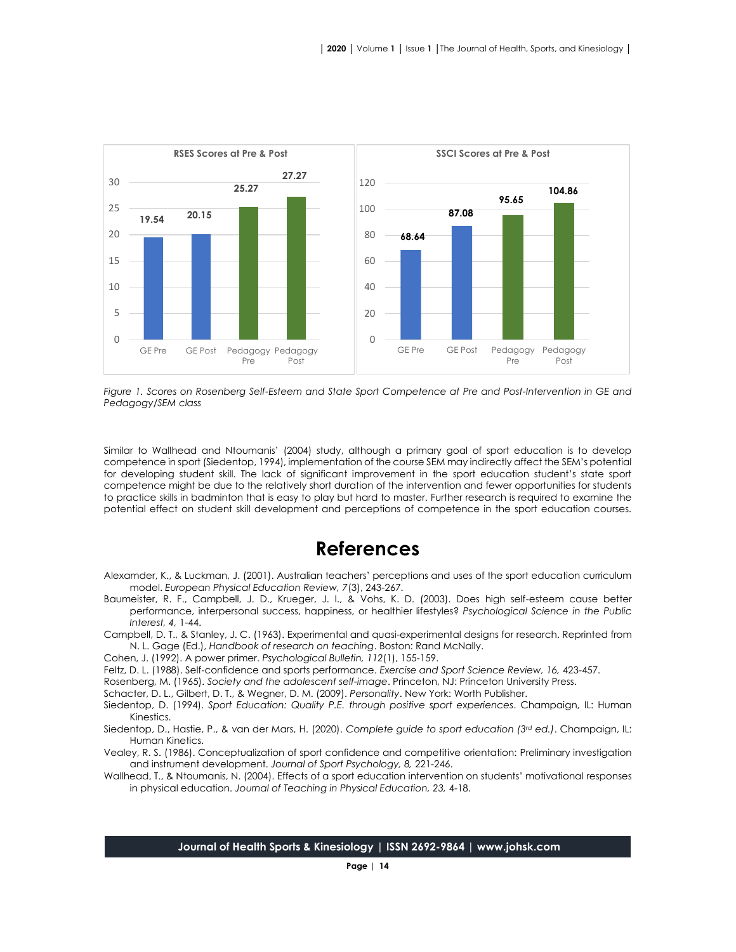

*Figure 1. Scores on Rosenberg Self-Esteem and State Sport Competence at Pre and Post-Intervention in GE and Pedagogy/SEM class*

Similar to Wallhead and Ntoumanis' (2004) study, although a primary goal of sport education is to develop competence in sport (Siedentop, 1994), implementation of the course SEM may indirectly affect the SEM's potential for developing student skill. The lack of significant improvement in the sport education student's state sport competence might be due to the relatively short duration of the intervention and fewer opportunities for students to practice skills in badminton that is easy to play but hard to master. Further research is required to examine the potential effect on student skill development and perceptions of competence in the sport education courses.

### **References**

- Alexamder, K., & Luckman, J. (2001). Australian teachers' perceptions and uses of the sport education curriculum model. *European Physical Education Review, 7*(3), 243-267.
- Baumeister, R. F., Campbell, J. D., Krueger, J. I., & Vohs, K. D. (2003). Does high self-esteem cause better performance, interpersonal success, happiness, or healthier lifestyles? *Psychological Science in the Public Interest, 4,* 1-44.
- Campbell, D. T., & Stanley, J. C. (1963). Experimental and quasi-experimental designs for research. Reprinted from N. L. Gage (Ed.), *Handbook of research on teaching*. Boston: Rand McNally.
- Cohen, J. (1992). A power primer. *Psychological Bulletin, 112*(1), 155-159.
- Feltz, D. L. (1988). Self-confidence and sports performance. *Exercise and Sport Science Review, 16,* 423-457.
- Rosenberg, M. (1965). *Society and the adolescent self-image*. Princeton, NJ: Princeton University Press.
- Schacter, D. L., Gilbert, D. T., & Wegner, D. M. (2009). *Personality*. New York: Worth Publisher.
- Siedentop, D. (1994). *Sport Education: Quality P.E. through positive sport experiences*. Champaign, IL: Human Kinestics.
- Siedentop, D., Hastie, P., & van der Mars, H. (2020). *Complete guide to sport education (3rd ed.)*. Champaign, IL: Human Kinetics.
- Vealey, R. S. (1986). Conceptualization of sport confidence and competitive orientation: Preliminary investigation and instrument development. *Journal of Sport Psychology, 8,* 221-246.
- Wallhead, T., & Ntoumanis, N. (2004). Effects of a sport education intervention on students' motivational responses in physical education. *Journal of Teaching in Physical Education, 23,* 4-18.